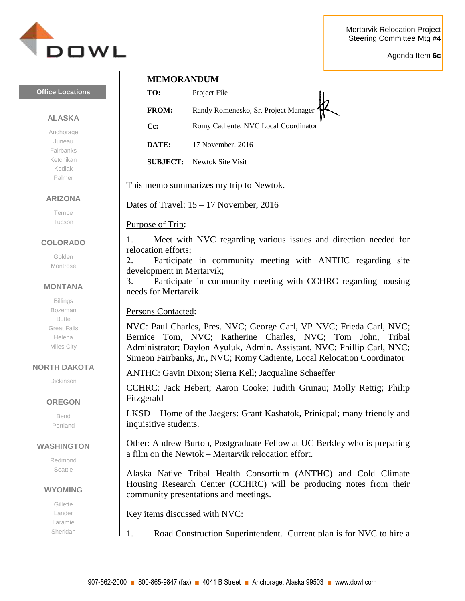

Agenda Item **6c**



# **Office Locations**

### **ALASKA**

Anchorage Juneau Fairbanks Ketchikan Kodiak Palmer

### **ARIZONA**

Tempe Tucson

## **COLORADO**

Golden Montrose

### **MONTANA**

Billings Bozeman Butte Great Falls Helena Miles City

## **NORTH DAKOTA**

Dickinson

## **OREGON**

Bend Portland

### **WASHINGTON**

Redmond Seattle

### **WYOMING**

**Gillette** Lander Laramie Sheridan

# **MEMORANDUM**

| TO:                | Project File                         |
|--------------------|--------------------------------------|
| <b>FROM:</b>       | Randy Romenesko, Sr. Project Manager |
| $C_{\mathbb{C}}$ : | Romy Cadiente, NVC Local Coordinator |
| DATE:              | 17 November, 2016                    |

**SUBJECT:** Newtok Site Visit

This memo summarizes my trip to Newtok.

Dates of Travel: 15 – 17 November, 2016

Purpose of Trip:

1. Meet with NVC regarding various issues and direction needed for relocation efforts;

2. Participate in community meeting with ANTHC regarding site development in Mertarvik;

3. Participate in community meeting with CCHRC regarding housing needs for Mertarvik.

# Persons Contacted:

NVC: Paul Charles, Pres. NVC; George Carl, VP NVC; Frieda Carl, NVC; Bernice Tom, NVC; Katherine Charles, NVC; Tom John, Tribal Administrator; Daylon Ayuluk, Admin. Assistant, NVC; Phillip Carl, NNC; Simeon Fairbanks, Jr., NVC; Romy Cadiente, Local Relocation Coordinator

ANTHC: Gavin Dixon; Sierra Kell; Jacqualine Schaeffer

CCHRC: Jack Hebert; Aaron Cooke; Judith Grunau; Molly Rettig; Philip Fitzgerald

LKSD – Home of the Jaegers: Grant Kashatok, Prinicpal; many friendly and inquisitive students.

Other: Andrew Burton, Postgraduate Fellow at UC Berkley who is preparing a film on the Newtok – Mertarvik relocation effort.

Alaska Native Tribal Health Consortium (ANTHC) and Cold Climate Housing Research Center (CCHRC) will be producing notes from their community presentations and meetings.

Key items discussed with NVC:

1. Road Construction Superintendent. Current plan is for NVC to hire a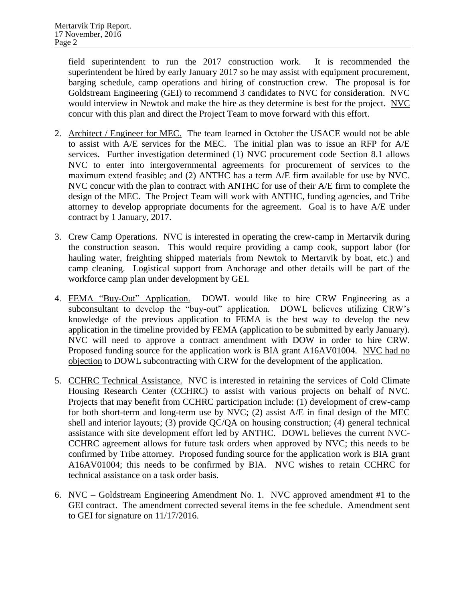field superintendent to run the 2017 construction work. It is recommended the superintendent be hired by early January 2017 so he may assist with equipment procurement, barging schedule, camp operations and hiring of construction crew. The proposal is for Goldstream Engineering (GEI) to recommend 3 candidates to NVC for consideration. NVC would interview in Newtok and make the hire as they determine is best for the project. NVC concur with this plan and direct the Project Team to move forward with this effort.

- 2. Architect / Engineer for MEC. The team learned in October the USACE would not be able to assist with A/E services for the MEC. The initial plan was to issue an RFP for A/E services. Further investigation determined (1) NVC procurement code Section 8.1 allows NVC to enter into intergovernmental agreements for procurement of services to the maximum extend feasible; and (2) ANTHC has a term A/E firm available for use by NVC. NVC concur with the plan to contract with ANTHC for use of their A/E firm to complete the design of the MEC. The Project Team will work with ANTHC, funding agencies, and Tribe attorney to develop appropriate documents for the agreement. Goal is to have A/E under contract by 1 January, 2017.
- 3. Crew Camp Operations. NVC is interested in operating the crew-camp in Mertarvik during the construction season. This would require providing a camp cook, support labor (for hauling water, freighting shipped materials from Newtok to Mertarvik by boat, etc.) and camp cleaning. Logistical support from Anchorage and other details will be part of the workforce camp plan under development by GEI.
- 4. FEMA "Buy-Out" Application. DOWL would like to hire CRW Engineering as a subconsultant to develop the "buy-out" application. DOWL believes utilizing CRW's knowledge of the previous application to FEMA is the best way to develop the new application in the timeline provided by FEMA (application to be submitted by early January). NVC will need to approve a contract amendment with DOW in order to hire CRW. Proposed funding source for the application work is BIA grant A16AV01004. NVC had no objection to DOWL subcontracting with CRW for the development of the application.
- 5. CCHRC Technical Assistance. NVC is interested in retaining the services of Cold Climate Housing Research Center (CCHRC) to assist with various projects on behalf of NVC. Projects that may benefit from CCHRC participation include: (1) development of crew-camp for both short-term and long-term use by NVC; (2) assist A/E in final design of the MEC shell and interior layouts; (3) provide QC/QA on housing construction; (4) general technical assistance with site development effort led by ANTHC. DOWL believes the current NVC-CCHRC agreement allows for future task orders when approved by NVC; this needs to be confirmed by Tribe attorney. Proposed funding source for the application work is BIA grant A16AV01004; this needs to be confirmed by BIA. NVC wishes to retain CCHRC for technical assistance on a task order basis.
- 6. NVC Goldstream Engineering Amendment No. 1. NVC approved amendment #1 to the GEI contract. The amendment corrected several items in the fee schedule. Amendment sent to GEI for signature on 11/17/2016.